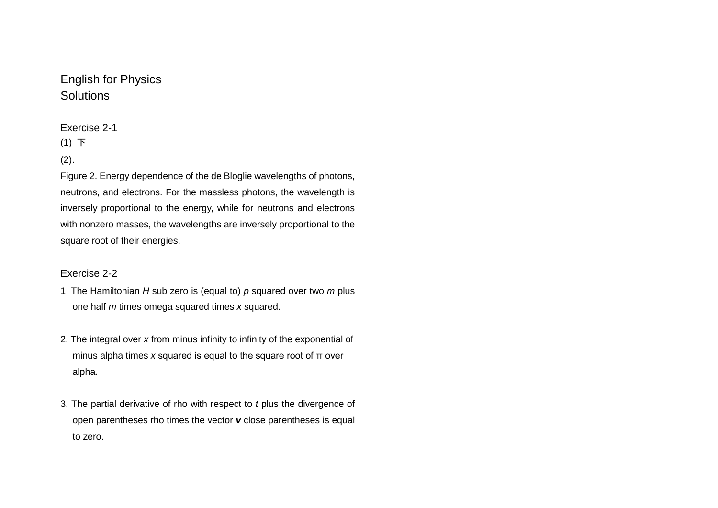# English for Physics **Solutions**

### Exercise 2-1

# (1) 下

### $(2).$

Figure 2. Energy dependence of the de Bloglie wavelengths of photons, neutrons, and electrons. For the massless photons, the wavelength is inversely proportional to the energy, while for neutrons and electrons with nonzero masses, the wavelengths are inversely proportional to the square root of their energies.

### Exercise 2-2

- 1. The Hamiltonian *H* sub zero is (equal to) *p* squared over two *m* plus one half *m* times omega squared times *x* squared.
- 2. The integral over *x* from minus infinity to infinity of the exponential of minus alpha times *x* squared is equal to the square root of π over alpha.
- 3. The partial derivative of rho with respect to *t* plus the divergence of open parentheses rho times the vector *v* close parentheses is equal to zero.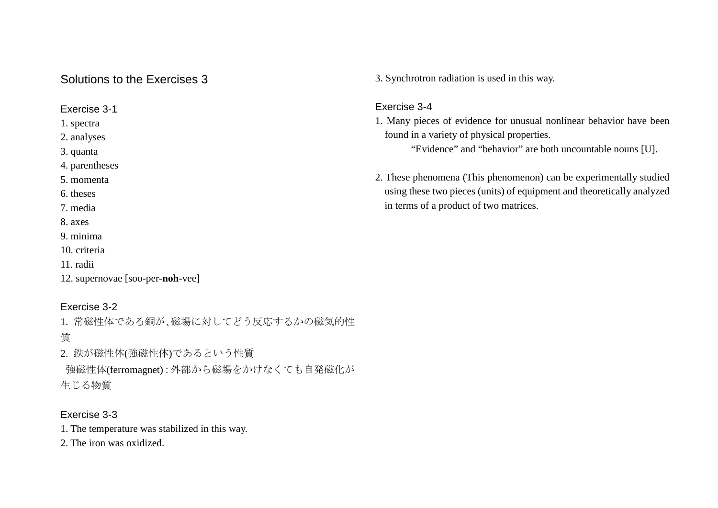# Solutions to the Exercises 3

Exercise 3-1

1. spectra

2. analyses

3. quanta

4. parentheses

5. momenta

6. theses

7. media

8. axes

9. minima

10. criteria

11. radii

12. supernovae [soo-per-**noh**-vee]

# Exercise 3-2

1. 常磁性体である銅が、磁場に対してどう反応するかの磁気的性 質

2. 鉄が磁性体(強磁性体)であるという性質 強磁性体(ferromagnet):外部から磁場をかけなくても自発磁化が 生じる物質

# Exercise 3-3

1. The temperature was stabilized in this way.

2. The iron was oxidized.

3. Synchrotron radiation is used in this way.

### Exercise 3-4

1. Many pieces of evidence for unusual nonlinear behavior have been found in a variety of physical properties.

"Evidence" and "behavior" are both uncountable nouns [U].

2. These phenomena (This phenomenon) can be experimentally studied using these two pieces (units) of equipment and theoretically analyzed in terms of a product of two matrices.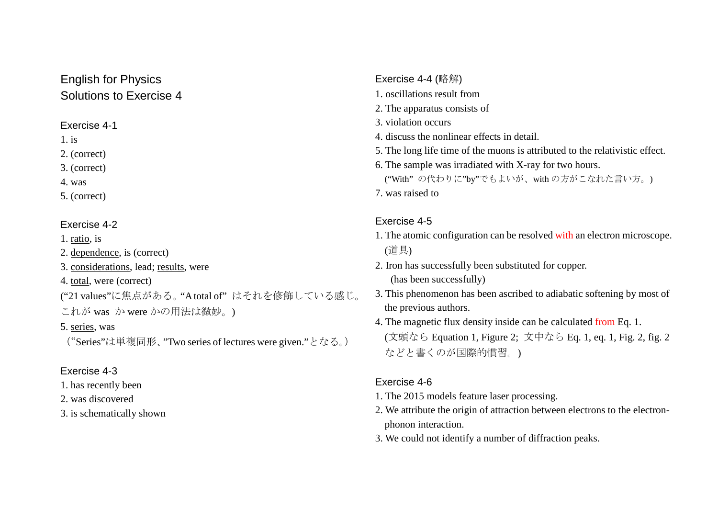# English for Physics Solutions to Exercise 4

### Exercise 4-1

1. is

- 2. (correct)
- 3. (correct)
- 4. was
- 5. (correct)

### Exercise 4-2

1. ratio, is

- 2. dependence, is (correct)
- 3. considerations, lead; results, were
- 4. total, were (correct)
- ("21 values"に焦点がある。"Atotal of" はそれを修飾している感じ。
- これが was か were かの用法は微妙。)
- 5. series, was

```
("Series"は単複同形、"Two series of lectures were given."となる。)
```
# Exercise 4-3

- 1. has recently been
- 2. was discovered
- 3. is schematically shown
- Exercise 4-4 (略解) 1. oscillations result from 2. The apparatus consists of 3. violation occurs 4. discuss the nonlinear effects in detail. 5. The long life time of the muons is attributed to the relativistic effect. 6. The sample was irradiated with X-ray for two hours. ("With" の代わりに"by"でもよいが、with の方がこなれた言い方。)
	- 7. was raised to

# Exercise 4-5

- 1. The atomic configuration can be resolved with an electron microscope. (道具)
- 2. Iron has successfully been substituted for copper. (has been successfully)
- 3. This phenomenon has been ascribed to adiabatic softening by most of the previous authors.
- 4. The magnetic flux density inside can be calculated from Eq. 1. (文頭なら Equation 1, Figure 2; 文中なら Eq. 1, eq. 1, Fig. 2, fig. 2 などと書くのが国際的慣習。)

# Exercise 4-6

- 1. The 2015 models feature laser processing.
- 2. We attribute the origin of attraction between electrons to the electronphonon interaction.
- 3. We could not identify a number of diffraction peaks.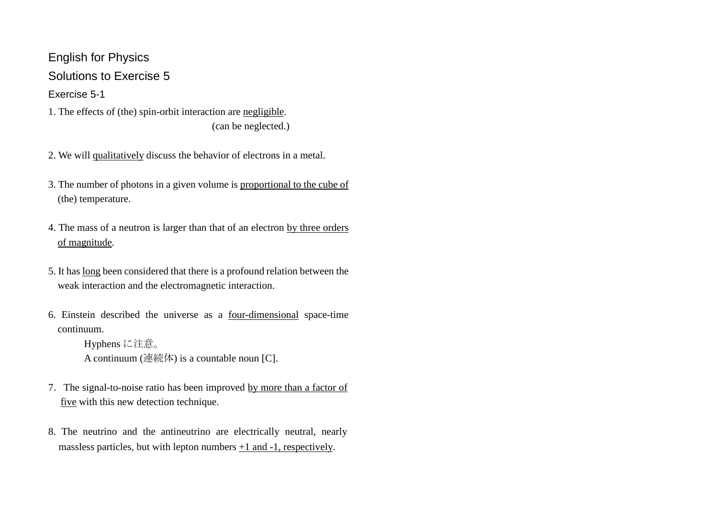English for Physics Solutions to Exercise 5 Exercise 5-1

- 1. The effects of (the) spin-orbit interaction are negligible. (can be neglected.)
- 2. We will qualitatively discuss the behavior of electrons in a metal.
- 3. The number of photons in a given volume is proportional to the cube of (the) temperature.
- 4. The mass of a neutron is larger than that of an electron by three orders of magnitude.
- 5. It has long been considered that there is a profound relation between the weak interaction and the electromagnetic interaction.
- 6. Einstein described the universe as a four-dimensional space-time continuum.

```
Hyphens に注意。
A continuum (連続体) is a countable noun [C].
```
- 7. The signal-to-noise ratio has been improved by more than a factor of five with this new detection technique.
- 8. The neutrino and the antineutrino are electrically neutral, nearly massless particles, but with lepton numbers  $+1$  and  $-1$ , respectively.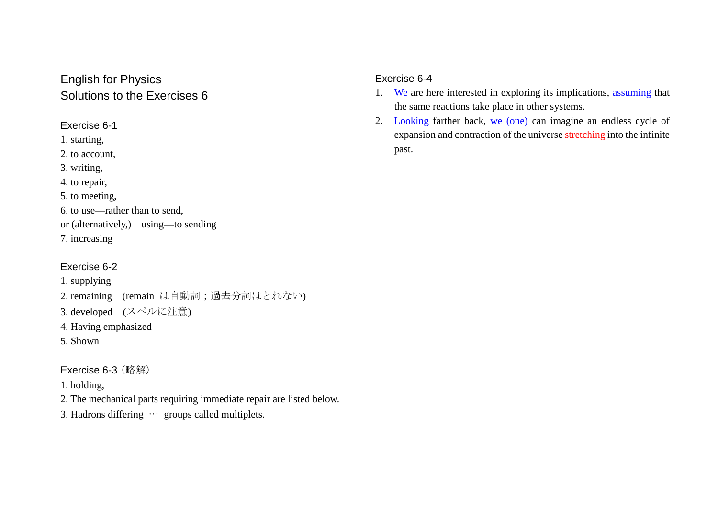# English for Physics Solutions to the Exercises 6

Exercise 6-1

1. starting,

2. to account,

3. writing,

4. to repair,

5. to meeting,

6. to use—rather than to send,

or (alternatively,) using—to sending

7. increasing

# Exercise 6-2

1. supplying

2. remaining (remain は自動詞;過去分詞はとれない)

3. developed (スペルに注意)

4. Having emphasized

5. Shown

# Exercise 6-3 (略解)

1. holding,

2. The mechanical parts requiring immediate repair are listed below.

3. Hadrons differing … groups called multiplets.

### Exercise 6-4

- 1. We are here interested in exploring its implications, assuming that the same reactions take place in other systems.
- 2. Looking farther back, we (one) can imagine an endless cycle of expansion and contraction of the universe stretching into the infinite past.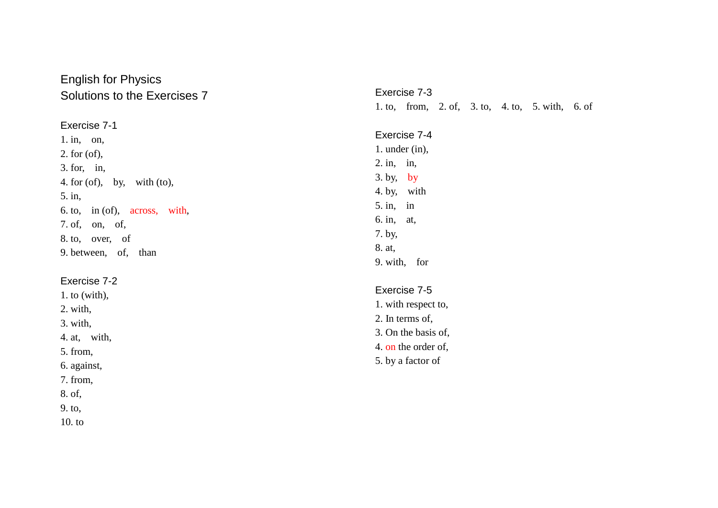# English for Physics Solutions to the Exercises 7

Exercise 7 - 1 1. in, on, 2. for (of) , 3. for, in, 4. for (of), by, with (to) , 5. in , 6. to, in (of), across , with , 7. of, on, of, 8. to, over, of 9. between, of, than

#### Exercise 7 - 2

1. to (with) , 2. with , 3. with, 4. at, with, 5. from, 6. against , 7. from, 8. of , 9. to ,

10. to

Exercise 7 - 3 1. to, from, 2. of , 3. to , 4. to , 5. with , 6. of

Exercise 7 - 4 1. under (in) , 2. in, in, 3. by, by 4. by, with 5. in, in 6. in, at, 7. by , 8. at , 9. with, for

### Exercise 7 - 5

1. with respect to , 2. In terms of , 3. On the basis of, 4. on the order of, 5. by a factor of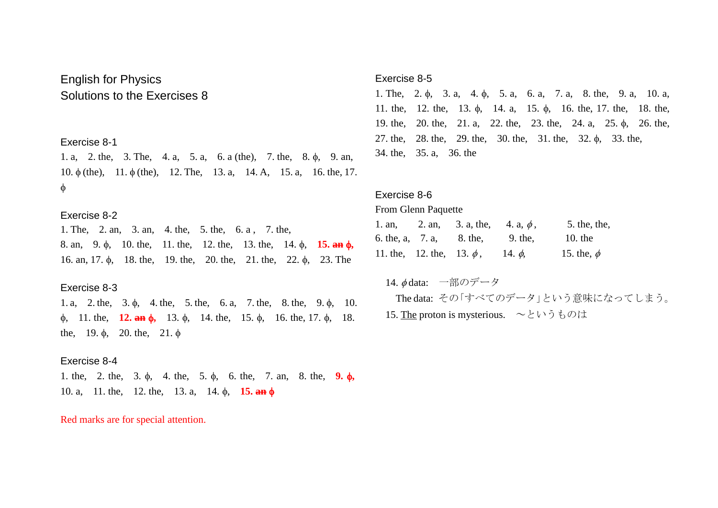# English for Physics Solutions to the Exercises 8

Exercise 8-1

1. a, 2. the, 3. The, 4. a, 5. a, 6. a (the), 7. the, 8. φ, 9. an, 10. φ (the), 11. φ (the), 12. The, 13. a, 14. A, 15. a, 16. the, 17. φ

#### Exercise 8-2

1. The, 2. an, 3. an, 4. the, 5. the, 6. a , 7. the, 8. an, 9. φ, 10. the, 11. the, 12. the, 13. the, 14. φ, **15. an** φ**,** 16. an, 17. φ, 18. the, 19. the, 20. the, 21. the, 22. φ, 23. The

#### Exercise 8-3

1. a, 2. the, 3. φ, 4. the, 5. the, 6. a, 7. the, 8. the, 9. φ, 10. φ, 11. the, **12. an** φ**,** 13. φ, 14. the, 15. φ, 16. the, 17. φ, 18. the, 19.  $\phi$ , 20. the, 21.  $\phi$ 

#### Exercise 8-4

1. the, 2. the, 3. φ, 4. the, 5. φ, 6. the, 7. an, 8. the, **9.** φ**,** 10. a, 11. the, 12. the, 13. a, 14. φ, **15. an** φ

#### Red marks are for special attention.

#### Exercise 8-5

1. The, 2. φ, 3. a, 4. φ, 5. a, 6. a, 7. a, 8. the, 9. a, 10. a, 11. the, 12. the, 13. φ, 14. a, 15. φ, 16. the, 17. the, 18. the, 19. the, 20. the, 21. a, 22. the, 23. the, 24. a, 25. φ, 26. the, 27. the, 28. the, 29. the, 30. the, 31. the, 32. φ, 33. the, 34. the, 35. a, 36. the

#### Exercise 8-6

#### From Glenn Paquette

| $1.$ an, |                                | 2. an, 3. a, the, 4. a, $\phi$ , |              | 5. the, the,    |
|----------|--------------------------------|----------------------------------|--------------|-----------------|
|          |                                | 6. the, a, 7. a, 8. the,         | 9. the,      | 10. the         |
|          | 11. the, 12. the, 13. $\phi$ , |                                  | 14. $\phi$ , | 15. the, $\phi$ |

# 14. φ data: 一部のデータ The data: その「すべてのデータ」という意味になってしまう。

15. The proton is mysterious. ~というものは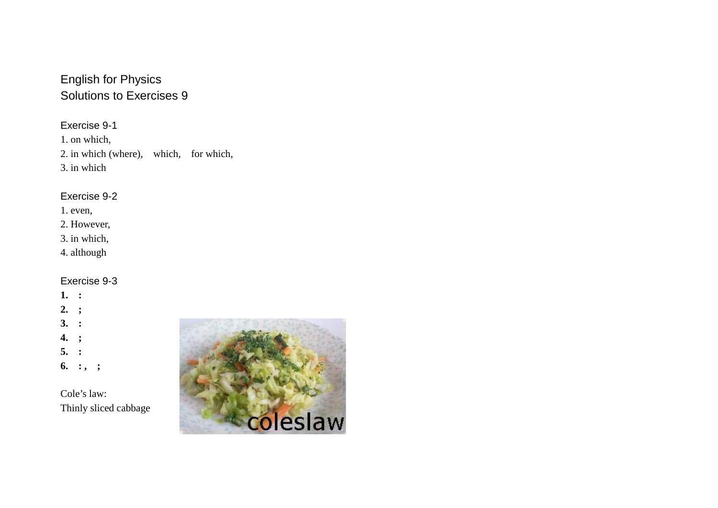# English for Physics Solutions to Exercises 9

Exercise 9-1

1. on which, 2. in which (where), which, for which, 3. in which

### Exercise 9-2

- 1. even,
- 2. However,
- 3. in which,
- 4. although

# Exercise 9-3

# **1. : 2. ; 3. : 4. ; 5. :**

**6. : , ;**

Cole's law: Thinly sliced cabbage